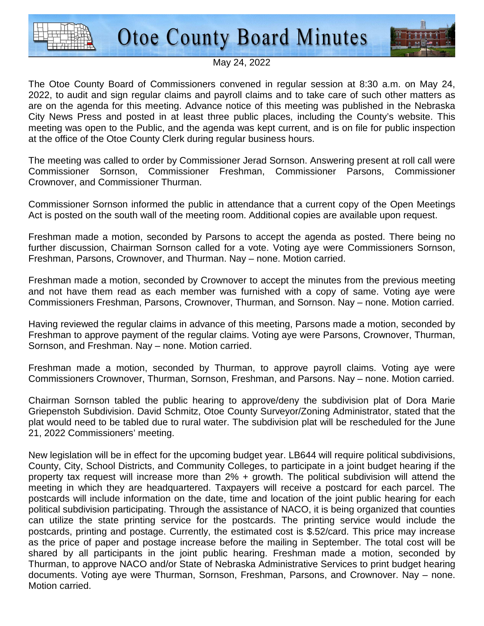



## May 24, 2022

The Otoe County Board of Commissioners convened in regular session at 8:30 a.m. on May 24, 2022, to audit and sign regular claims and payroll claims and to take care of such other matters as are on the agenda for this meeting. Advance notice of this meeting was published in the Nebraska City News Press and posted in at least three public places, including the County's website. This meeting was open to the Public, and the agenda was kept current, and is on file for public inspection at the office of the Otoe County Clerk during regular business hours.

The meeting was called to order by Commissioner Jerad Sornson. Answering present at roll call were Commissioner Sornson, Commissioner Freshman, Commissioner Parsons, Commissioner Crownover, and Commissioner Thurman.

Commissioner Sornson informed the public in attendance that a current copy of the Open Meetings Act is posted on the south wall of the meeting room. Additional copies are available upon request.

Freshman made a motion, seconded by Parsons to accept the agenda as posted. There being no further discussion, Chairman Sornson called for a vote. Voting aye were Commissioners Sornson, Freshman, Parsons, Crownover, and Thurman. Nay – none. Motion carried.

Freshman made a motion, seconded by Crownover to accept the minutes from the previous meeting and not have them read as each member was furnished with a copy of same. Voting aye were Commissioners Freshman, Parsons, Crownover, Thurman, and Sornson. Nay – none. Motion carried.

Having reviewed the regular claims in advance of this meeting, Parsons made a motion, seconded by Freshman to approve payment of the regular claims. Voting aye were Parsons, Crownover, Thurman, Sornson, and Freshman. Nay – none. Motion carried.

Freshman made a motion, seconded by Thurman, to approve payroll claims. Voting aye were Commissioners Crownover, Thurman, Sornson, Freshman, and Parsons. Nay – none. Motion carried.

Chairman Sornson tabled the public hearing to approve/deny the subdivision plat of Dora Marie Griepenstoh Subdivision. David Schmitz, Otoe County Surveyor/Zoning Administrator, stated that the plat would need to be tabled due to rural water. The subdivision plat will be rescheduled for the June 21, 2022 Commissioners' meeting.

New legislation will be in effect for the upcoming budget year. LB644 will require political subdivisions, County, City, School Districts, and Community Colleges, to participate in a joint budget hearing if the property tax request will increase more than 2% + growth. The political subdivision will attend the meeting in which they are headquartered. Taxpayers will receive a postcard for each parcel. The postcards will include information on the date, time and location of the joint public hearing for each political subdivision participating. Through the assistance of NACO, it is being organized that counties can utilize the state printing service for the postcards. The printing service would include the postcards, printing and postage. Currently, the estimated cost is \$.52/card. This price may increase as the price of paper and postage increase before the mailing in September. The total cost will be shared by all participants in the joint public hearing. Freshman made a motion, seconded by Thurman, to approve NACO and/or State of Nebraska Administrative Services to print budget hearing documents. Voting aye were Thurman, Sornson, Freshman, Parsons, and Crownover. Nay – none. Motion carried.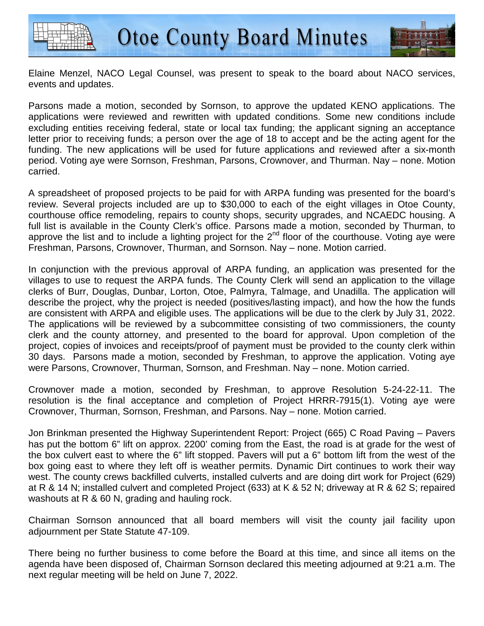



Elaine Menzel, NACO Legal Counsel, was present to speak to the board about NACO services, events and updates.

Parsons made a motion, seconded by Sornson, to approve the updated KENO applications. The applications were reviewed and rewritten with updated conditions. Some new conditions include excluding entities receiving federal, state or local tax funding; the applicant signing an acceptance letter prior to receiving funds; a person over the age of 18 to accept and be the acting agent for the funding. The new applications will be used for future applications and reviewed after a six-month period. Voting aye were Sornson, Freshman, Parsons, Crownover, and Thurman. Nay – none. Motion carried.

A spreadsheet of proposed projects to be paid for with ARPA funding was presented for the board's review. Several projects included are up to \$30,000 to each of the eight villages in Otoe County, courthouse office remodeling, repairs to county shops, security upgrades, and NCAEDC housing. A full list is available in the County Clerk's office. Parsons made a motion, seconded by Thurman, to approve the list and to include a lighting project for the  $2<sup>nd</sup>$  floor of the courthouse. Voting aye were Freshman, Parsons, Crownover, Thurman, and Sornson. Nay – none. Motion carried.

In conjunction with the previous approval of ARPA funding, an application was presented for the villages to use to request the ARPA funds. The County Clerk will send an application to the village clerks of Burr, Douglas, Dunbar, Lorton, Otoe, Palmyra, Talmage, and Unadilla. The application will describe the project, why the project is needed (positives/lasting impact), and how the how the funds are consistent with ARPA and eligible uses. The applications will be due to the clerk by July 31, 2022. The applications will be reviewed by a subcommittee consisting of two commissioners, the county clerk and the county attorney, and presented to the board for approval. Upon completion of the project, copies of invoices and receipts/proof of payment must be provided to the county clerk within 30 days. Parsons made a motion, seconded by Freshman, to approve the application. Voting aye were Parsons, Crownover, Thurman, Sornson, and Freshman. Nay – none. Motion carried.

Crownover made a motion, seconded by Freshman, to approve Resolution 5-24-22-11. The resolution is the final acceptance and completion of Project HRRR-7915(1). Voting aye were Crownover, Thurman, Sornson, Freshman, and Parsons. Nay – none. Motion carried.

Jon Brinkman presented the Highway Superintendent Report: Project (665) C Road Paving – Pavers has put the bottom 6" lift on approx. 2200' coming from the East, the road is at grade for the west of the box culvert east to where the 6" lift stopped. Pavers will put a 6" bottom lift from the west of the box going east to where they left off is weather permits. Dynamic Dirt continues to work their way west. The county crews backfilled culverts, installed culverts and are doing dirt work for Project (629) at R & 14 N; installed culvert and completed Project (633) at K & 52 N; driveway at R & 62 S; repaired washouts at R & 60 N, grading and hauling rock.

Chairman Sornson announced that all board members will visit the county jail facility upon adjournment per State Statute 47-109.

There being no further business to come before the Board at this time, and since all items on the agenda have been disposed of, Chairman Sornson declared this meeting adjourned at 9:21 a.m. The next regular meeting will be held on June 7, 2022.